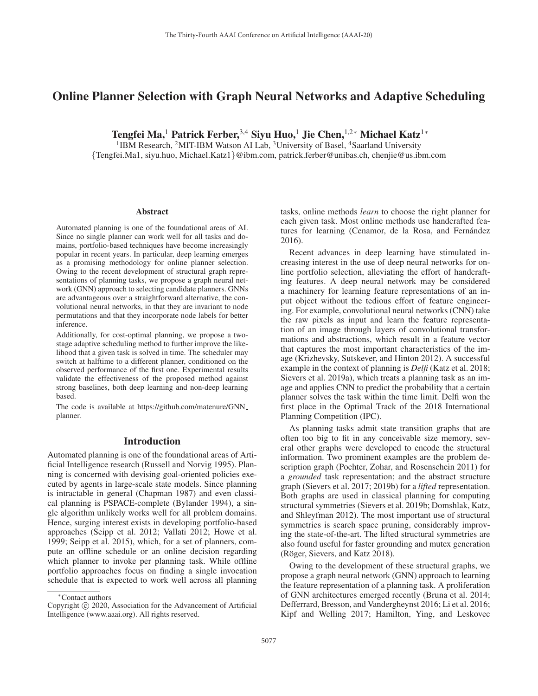# Online Planner Selection with Graph Neural Networks and Adaptive Scheduling

Tengfei Ma,<sup>1</sup> Patrick Ferber,<sup>3,4</sup> Siyu Huo,<sup>1</sup> Jie Chen,<sup>1,2</sup>\* Michael Katz<sup>1</sup>\*

<sup>1</sup>IBM Research, <sup>2</sup>MIT-IBM Watson AI Lab, <sup>3</sup>University of Basel, <sup>4</sup>Saarland University {Tengfei.Ma1, siyu.huo, Michael.Katz1}@ibm.com, patrick.ferber@unibas.ch, chenjie@us.ibm.com

#### Abstract

Automated planning is one of the foundational areas of AI. Since no single planner can work well for all tasks and domains, portfolio-based techniques have become increasingly popular in recent years. In particular, deep learning emerges as a promising methodology for online planner selection. Owing to the recent development of structural graph representations of planning tasks, we propose a graph neural network (GNN) approach to selecting candidate planners. GNNs are advantageous over a straightforward alternative, the convolutional neural networks, in that they are invariant to node permutations and that they incorporate node labels for better inference.

Additionally, for cost-optimal planning, we propose a twostage adaptive scheduling method to further improve the likelihood that a given task is solved in time. The scheduler may switch at halftime to a different planner, conditioned on the observed performance of the first one. Experimental results validate the effectiveness of the proposed method against strong baselines, both deep learning and non-deep learning based.

The code is available at https://github.com/matenure/GNN planner.

#### Introduction

Automated planning is one of the foundational areas of Artificial Intelligence research (Russell and Norvig 1995). Planning is concerned with devising goal-oriented policies executed by agents in large-scale state models. Since planning is intractable in general (Chapman 1987) and even classical planning is PSPACE-complete (Bylander 1994), a single algorithm unlikely works well for all problem domains. Hence, surging interest exists in developing portfolio-based approaches (Seipp et al. 2012; Vallati 2012; Howe et al. 1999; Seipp et al. 2015), which, for a set of planners, compute an offline schedule or an online decision regarding which planner to invoke per planning task. While offline portfolio approaches focus on finding a single invocation schedule that is expected to work well across all planning tasks, online methods *learn* to choose the right planner for each given task. Most online methods use handcrafted features for learning (Cenamor, de la Rosa, and Fernández 2016).

Recent advances in deep learning have stimulated increasing interest in the use of deep neural networks for online portfolio selection, alleviating the effort of handcrafting features. A deep neural network may be considered a machinery for learning feature representations of an input object without the tedious effort of feature engineering. For example, convolutional neural networks (CNN) take the raw pixels as input and learn the feature representation of an image through layers of convolutional transformations and abstractions, which result in a feature vector that captures the most important characteristics of the image (Krizhevsky, Sutskever, and Hinton 2012). A successful example in the context of planning is *Delfi* (Katz et al. 2018; Sievers et al. 2019a), which treats a planning task as an image and applies CNN to predict the probability that a certain planner solves the task within the time limit. Delfi won the first place in the Optimal Track of the 2018 International Planning Competition (IPC).

As planning tasks admit state transition graphs that are often too big to fit in any conceivable size memory, several other graphs were developed to encode the structural information. Two prominent examples are the problem description graph (Pochter, Zohar, and Rosenschein 2011) for a *grounded* task representation; and the abstract structure graph (Sievers et al. 2017; 2019b) for a *lifted* representation. Both graphs are used in classical planning for computing structural symmetries (Sievers et al. 2019b; Domshlak, Katz, and Shleyfman 2012). The most important use of structural symmetries is search space pruning, considerably improving the state-of-the-art. The lifted structural symmetries are also found useful for faster grounding and mutex generation (Röger, Sievers, and Katz 2018).

Owing to the development of these structural graphs, we propose a graph neural network (GNN) approach to learning the feature representation of a planning task. A proliferation of GNN architectures emerged recently (Bruna et al. 2014; Defferrard, Bresson, and Vandergheynst 2016; Li et al. 2016; Kipf and Welling 2017; Hamilton, Ying, and Leskovec

<sup>∗</sup>Contact authors

Copyright  $\odot$  2020, Association for the Advancement of Artificial Intelligence (www.aaai.org). All rights reserved.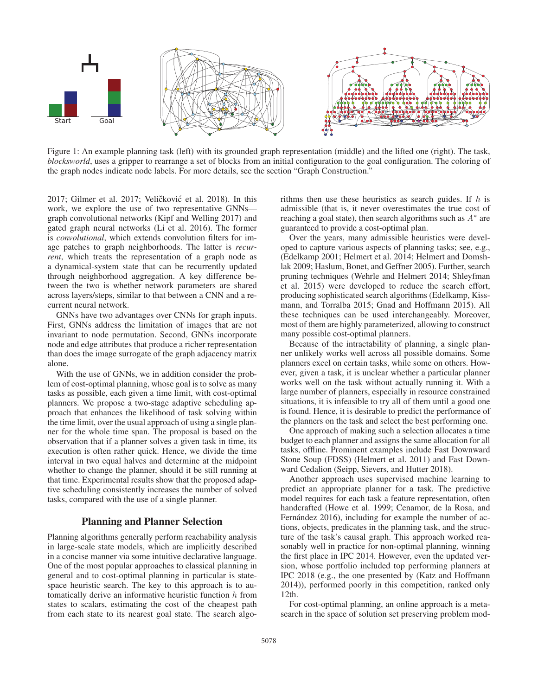

Figure 1: An example planning task (left) with its grounded graph representation (middle) and the lifted one (right). The task, *blocksworld*, uses a gripper to rearrange a set of blocks from an initial configuration to the goal configuration. The coloring of the graph nodes indicate node labels. For more details, see the section "Graph Construction."

2017; Gilmer et al. 2017; Veličković et al. 2018). In this work, we explore the use of two representative GNNs graph convolutional networks (Kipf and Welling 2017) and gated graph neural networks (Li et al. 2016). The former is *convolutional*, which extends convolution filters for image patches to graph neighborhoods. The latter is *recurrent*, which treats the representation of a graph node as a dynamical-system state that can be recurrently updated through neighborhood aggregation. A key difference between the two is whether network parameters are shared across layers/steps, similar to that between a CNN and a recurrent neural network.

GNNs have two advantages over CNNs for graph inputs. First, GNNs address the limitation of images that are not invariant to node permutation. Second, GNNs incorporate node and edge attributes that produce a richer representation than does the image surrogate of the graph adjacency matrix alone.

With the use of GNNs, we in addition consider the problem of cost-optimal planning, whose goal is to solve as many tasks as possible, each given a time limit, with cost-optimal planners. We propose a two-stage adaptive scheduling approach that enhances the likelihood of task solving within the time limit, over the usual approach of using a single planner for the whole time span. The proposal is based on the observation that if a planner solves a given task in time, its execution is often rather quick. Hence, we divide the time interval in two equal halves and determine at the midpoint whether to change the planner, should it be still running at that time. Experimental results show that the proposed adaptive scheduling consistently increases the number of solved tasks, compared with the use of a single planner.

# Planning and Planner Selection

Planning algorithms generally perform reachability analysis in large-scale state models, which are implicitly described in a concise manner via some intuitive declarative language. One of the most popular approaches to classical planning in general and to cost-optimal planning in particular is statespace heuristic search. The key to this approach is to automatically derive an informative heuristic function  $h$  from states to scalars, estimating the cost of the cheapest path from each state to its nearest goal state. The search algorithms then use these heuristics as search guides. If  $h$  is admissible (that is, it never overestimates the true cost of reaching a goal state), then search algorithms such as  $A^*$  are guaranteed to provide a cost-optimal plan.

Over the years, many admissible heuristics were developed to capture various aspects of planning tasks; see, e.g., (Edelkamp 2001; Helmert et al. 2014; Helmert and Domshlak 2009; Haslum, Bonet, and Geffner 2005). Further, search pruning techniques (Wehrle and Helmert 2014; Shleyfman et al. 2015) were developed to reduce the search effort, producing sophisticated search algorithms (Edelkamp, Kissmann, and Torralba 2015; Gnad and Hoffmann 2015). All these techniques can be used interchangeably. Moreover, most of them are highly parameterized, allowing to construct many possible cost-optimal planners.

Because of the intractability of planning, a single planner unlikely works well across all possible domains. Some planners excel on certain tasks, while some on others. However, given a task, it is unclear whether a particular planner works well on the task without actually running it. With a large number of planners, especially in resource constrained situations, it is infeasible to try all of them until a good one is found. Hence, it is desirable to predict the performance of the planners on the task and select the best performing one.

One approach of making such a selection allocates a time budget to each planner and assigns the same allocation for all tasks, offline. Prominent examples include Fast Downward Stone Soup (FDSS) (Helmert et al. 2011) and Fast Downward Cedalion (Seipp, Sievers, and Hutter 2018).

Another approach uses supervised machine learning to predict an appropriate planner for a task. The predictive model requires for each task a feature representation, often handcrafted (Howe et al. 1999; Cenamor, de la Rosa, and Fernández 2016), including for example the number of actions, objects, predicates in the planning task, and the structure of the task's causal graph. This approach worked reasonably well in practice for non-optimal planning, winning the first place in IPC 2014. However, even the updated version, whose portfolio included top performing planners at IPC 2018 (e.g., the one presented by (Katz and Hoffmann 2014)), performed poorly in this competition, ranked only 12th.

For cost-optimal planning, an online approach is a metasearch in the space of solution set preserving problem mod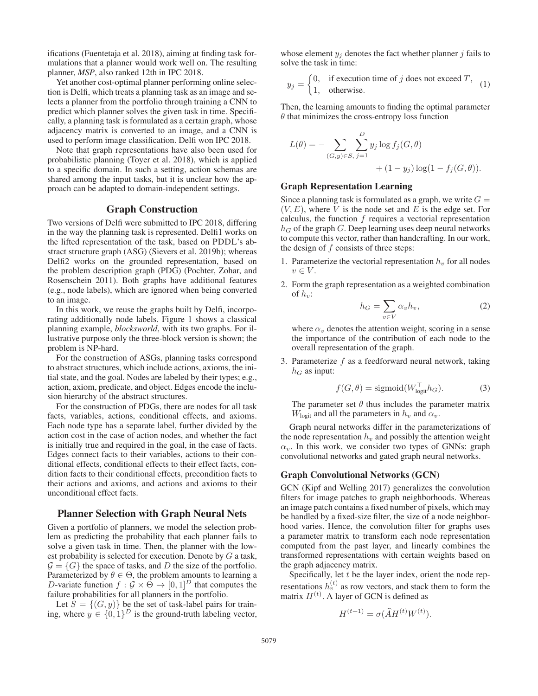ifications (Fuentetaja et al. 2018), aiming at finding task formulations that a planner would work well on. The resulting planner, *MSP*, also ranked 12th in IPC 2018.

Yet another cost-optimal planner performing online selection is Delfi, which treats a planning task as an image and selects a planner from the portfolio through training a CNN to predict which planner solves the given task in time. Specifically, a planning task is formulated as a certain graph, whose adjacency matrix is converted to an image, and a CNN is used to perform image classification. Delfi won IPC 2018.

Note that graph representations have also been used for probabilistic planning (Toyer et al. 2018), which is applied to a specific domain. In such a setting, action schemas are shared among the input tasks, but it is unclear how the approach can be adapted to domain-independent settings.

# Graph Construction

Two versions of Delfi were submitted to IPC 2018, differing in the way the planning task is represented. Delfi1 works on the lifted representation of the task, based on PDDL's abstract structure graph (ASG) (Sievers et al. 2019b); whereas Delfi2 works on the grounded representation, based on the problem description graph (PDG) (Pochter, Zohar, and Rosenschein 2011). Both graphs have additional features (e.g., node labels), which are ignored when being converted to an image.

In this work, we reuse the graphs built by Delfi, incorporating additionally node labels. Figure 1 shows a classical planning example, *blocksworld*, with its two graphs. For illustrative purpose only the three-block version is shown; the problem is NP-hard.

For the construction of ASGs, planning tasks correspond to abstract structures, which include actions, axioms, the initial state, and the goal. Nodes are labeled by their types; e.g., action, axiom, predicate, and object. Edges encode the inclusion hierarchy of the abstract structures.

For the construction of PDGs, there are nodes for all task facts, variables, actions, conditional effects, and axioms. Each node type has a separate label, further divided by the action cost in the case of action nodes, and whether the fact is initially true and required in the goal, in the case of facts. Edges connect facts to their variables, actions to their conditional effects, conditional effects to their effect facts, condition facts to their conditional effects, precondition facts to their actions and axioms, and actions and axioms to their unconditional effect facts.

# Planner Selection with Graph Neural Nets

Given a portfolio of planners, we model the selection problem as predicting the probability that each planner fails to solve a given task in time. Then, the planner with the lowest probability is selected for execution. Denote by  $G$  a task,  $\mathcal{G} = \{G\}$  the space of tasks, and D the size of the portfolio. Parameterized by  $\theta \in \Theta$ , the problem amounts to learning a D-variate function  $f : \mathcal{G} \times \Theta \to [0, 1]^D$  that computes the failure probabilities for all planners in the portfolio.

Let  $S = \{(G, y)\}\$ be the set of task-label pairs for training, where  $y \in \{0,1\}^D$  is the ground-truth labeling vector,

whose element  $y_i$  denotes the fact whether planner j fails to solve the task in time:

$$
y_j = \begin{cases} 0, & \text{if execution time of } j \text{ does not exceed } T, \\ 1, & \text{otherwise.} \end{cases}
$$
 (1)

Then, the learning amounts to finding the optimal parameter  $\theta$  that minimizes the cross-entropy loss function

$$
L(\theta) = - \sum_{(G,y)\in S, j=1} \sum_{j=1}^{D} y_j \log f_j(G, \theta) + (1 - y_j) \log(1 - f_j(G, \theta)).
$$

#### Graph Representation Learning

Since a planning task is formulated as a graph, we write  $G =$  $(V, E)$ , where V is the node set and E is the edge set. For calculus, the function  $f$  requires a vectorial representation  $h_G$  of the graph G. Deep learning uses deep neural networks to compute this vector, rather than handcrafting. In our work, the design of f consists of three steps:

- 1. Parameterize the vectorial representation  $h<sub>v</sub>$  for all nodes  $v \in V$ .
- 2. Form the graph representation as a weighted combination of  $h_v$ :

$$
h_G = \sum_{v \in V} \alpha_v h_v,\tag{2}
$$

where  $\alpha_v$  denotes the attention weight, scoring in a sense<br>the importance of the contribution of each node to the the importance of the contribution of each node to the overall representation of the graph.

3. Parameterize  $f$  as a feedforward neural network, taking  $h_G$  as input:

$$
f(G, \theta) = \text{sigmoid}(W_{\text{logit}}^{\top} h_G). \tag{3}
$$

The parameter set  $\theta$  thus includes the parameter matrix  $W_{\text{logit}}$  and all the parameters in  $h_v$  and  $\alpha_v$ .

Graph neural networks differ in the parameterizations of the node representation  $h<sub>v</sub>$  and possibly the attention weight  $\alpha_v$ . In this work, we consider two types of GNNs: graph convolutional networks and gated graph neural networks.

#### Graph Convolutional Networks (GCN)

GCN (Kipf and Welling 2017) generalizes the convolution filters for image patches to graph neighborhoods. Whereas an image patch contains a fixed number of pixels, which may be handled by a fixed-size filter, the size of a node neighborhood varies. Hence, the convolution filter for graphs uses a parameter matrix to transform each node representation computed from the past layer, and linearly combines the transformed representations with certain weights based on the graph adjacency matrix.

Specifically, let  $t$  be the layer index, orient the node representations  $h_v^{(t)}$  as row vectors, and stack them to form the matrix  $H^{(t)}$  A laver of GCN is defined as matrix  $H^{(t)}$ . A layer of GCN is defined as

$$
H^{(t+1)} = \sigma(\widehat{A}H^{(t)}W^{(t)}).
$$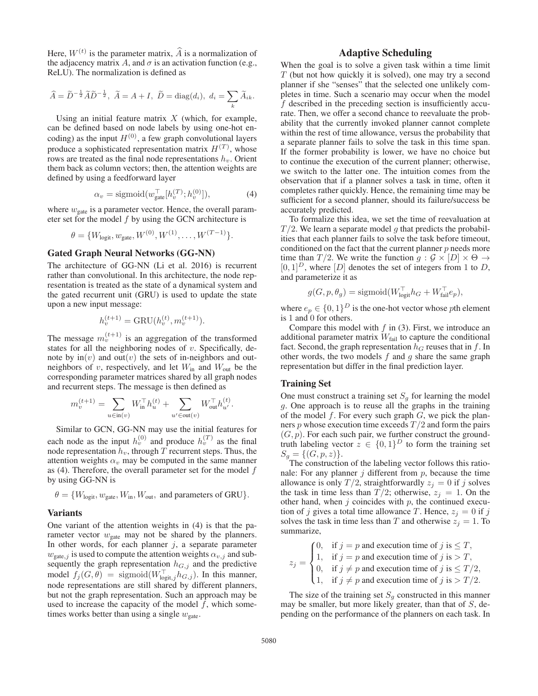Here,  $W^{(t)}$  is the parameter matrix,  $\widehat{A}$  is a normalization of the adjacency matrix A, and  $\sigma$  is an activation function (e.g., ReLU). The normalization is defined as

$$
\widehat{A} = \widetilde{D}^{-\frac{1}{2}} \widetilde{A} \widetilde{D}^{-\frac{1}{2}}, \ \widetilde{A} = A + I, \ \widetilde{D} = \text{diag}(d_i), \ d_i = \sum_k \widetilde{A}_{ik}.
$$

Using an initial feature matrix  $X$  (which, for example, can be defined based on node labels by using one-hot encoding) as the input  $H^{(0)}$ , a few graph convolutional layers produce a sophisticated representation matrix  $H^{(T)}$ , whose rows are treated as the final node representations  $h_{ij}$ . Orient rows are treated as the final node representations  $h<sub>v</sub>$ . Orient them back as column vectors; then, the attention weights are defined by using a feedforward layer

$$
\alpha_v = \text{sigmoid}(w_{\text{gate}}^\top[h_v^{(T)}; h_v^{(0)}]),\tag{4}
$$

where  $w_{\text{gate}}$  is a parameter vector. Hence, the overall parameter set for the model  $f$  by using the GCN architecture is

$$
\theta = \{W_{\text{logit}}, w_{\text{gate}}, W^{(0)}, W^{(1)}, \dots, W^{(T-1)}\}.
$$

# Gated Graph Neural Networks (GG-NN)

The architecture of GG-NN (Li et al. 2016) is recurrent rather than convolutional. In this architecture, the node representation is treated as the state of a dynamical system and the gated recurrent unit (GRU) is used to update the state upon a new input message:

$$
h_v^{(t+1)} = \text{GRU}(h_v^{(t)}, m_v^{(t+1)}).
$$

The message  $m_v^{(t+1)}$  is an aggregation of the transformed<br>states for all the neighboring nodes of v. Specifically destates for all the neighboring nodes of  $v$ . Specifically, denote by  $\text{in}(v)$  and  $\text{out}(v)$  the sets of in-neighbors and outneighbors of  $v$ , respectively, and let  $W_{\text{in}}$  and  $W_{\text{out}}$  be the corresponding parameter matrices shared by all graph nodes and recurrent steps. The message is then defined as

$$
m^{(t+1)}_v = \sum_{u\in \operatorname{in}(v)} W_{\operatorname{in}}^\top h^{(t)}_u + \sum_{u'\in \operatorname{out}(v)} W_{\operatorname{out}}^\top h^{(t)}_{u'}
$$

Similar to GCN, GG-NN may use the initial features for each node as the input  $h_v^{(0)}$  and produce  $h_v^{(T)}$  as the final node representation  $h_v$ , through T recurrent steps. Thus the node representation  $\hat{h}_v$ , through  $\hat{T}$  recurrent steps. Thus, the attention weights  $\alpha_v$  may be computed in the same manner as  $(4)$ . Therefore, the overall parameter set for the model f by using GG-NN is

$$
\theta = \{W_{\text{logit}}, w_{\text{gate}}, W_{\text{in}}, W_{\text{out}}, \text{ and parameters of GRU}\}.
$$

#### Variants

One variant of the attention weights in (4) is that the parameter vector  $w_{\text{gate}}$  may not be shared by the planners. In other words, for each planner  $j$ , a separate parameter  $w_{\text{gate},j}$  is used to compute the attention weights  $\alpha_{v,j}$  and subsequently the graph representation  $h_{G,j}$  and the predictive model  $f_j(G, \theta) = \text{sigmoid}(W_{\text{logit},j}^{\top} h_{G,j})$ . In this manner, node representations are still shared by different planners, but not the graph representation. Such an approach may be used to increase the capacity of the model  $f$ , which sometimes works better than using a single  $w_{\text{gate}}$ .

# Adaptive Scheduling

When the goal is to solve a given task within a time limit  $T$  (but not how quickly it is solved), one may try a second planner if she "senses" that the selected one unlikely completes in time. Such a scenario may occur when the model f described in the preceding section is insufficiently accurate. Then, we offer a second chance to reevaluate the probability that the currently invoked planner cannot complete within the rest of time allowance, versus the probability that a separate planner fails to solve the task in this time span. If the former probability is lower, we have no choice but to continue the execution of the current planner; otherwise, we switch to the latter one. The intuition comes from the observation that if a planner solves a task in time, often it completes rather quickly. Hence, the remaining time may be sufficient for a second planner, should its failure/success be accurately predicted.

To formalize this idea, we set the time of reevaluation at  $T/2$ . We learn a separate model g that predicts the probabilities that each planner fails to solve the task before timeout, conditioned on the fact that the current planner  $p$  needs more time than  $T/2$ . We write the function  $g : \mathcal{G} \times [D] \times \Theta \rightarrow$  $[0, 1]^D$ , where  $[D]$  denotes the set of integers from 1 to D, and parameterize it as

$$
g(G, p, \theta_g) = \text{sigmoid}(W_{\text{logit}}^{\top} h_G + W_{\text{fail}}^{\top} e_p),
$$

where  $e_p \in \{0, 1\}^D$  is the one-hot vector whose *p*th element is 1 and 0 for others is 1 and 0 for others.

Compare this model with  $f$  in (3). First, we introduce an additional parameter matrix  $W_{\text{fail}}$  to capture the conditional fact. Second, the graph representation  $h<sub>G</sub>$  reuses that in f. In other words, the two models  $f$  and  $g$  share the same graph representation but differ in the final prediction layer.

#### Training Set

One must construct a training set  $S<sub>g</sub>$  for learning the model g. One approach is to reuse all the graphs in the training of the model  $f$ . For every such graph  $G$ , we pick the planners  $p$  whose execution time exceeds  $T/2$  and form the pairs  $(G, p)$ . For each such pair, we further construct the groundtruth labeling vector  $z \in \{0,1\}^D$  to form the training set  $S_g = \{(G, p, z)\}.$ 

The construction of the labeling vector follows this rationale: For any planner  $j$  different from  $p$ , because the time allowance is only  $T/2$ , straightforwardly  $z_j = 0$  if j solves the task in time less than  $T/2$ ; otherwise,  $z_i = 1$ . On the other hand, when  $j$  coincides with  $p$ , the continued execution of j gives a total time allowance T. Hence,  $z_i = 0$  if j solves the task in time less than T and otherwise  $z_j = 1$ . To summarize,

$$
z_j = \begin{cases} 0, & \text{if } j = p \text{ and execution time of } j \text{ is } \leq T, \\ 1, & \text{if } j = p \text{ and execution time of } j \text{ is } > T, \\ 0, & \text{if } j \neq p \text{ and execution time of } j \text{ is } \leq T/2, \\ 1, & \text{if } j \neq p \text{ and execution time of } j \text{ is } > T/2. \end{cases}
$$

The size of the training set  $S_q$  constructed in this manner may be smaller, but more likely greater, than that of  $S$ , depending on the performance of the planners on each task. In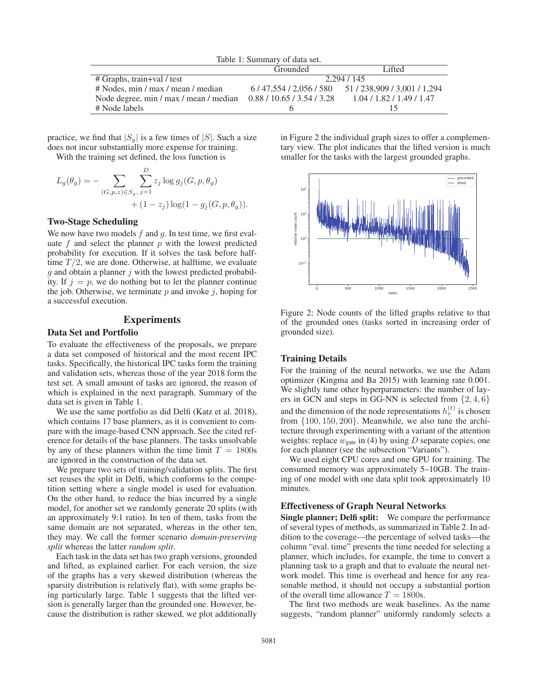| Table 1: Summary of data set.                                     |             |                                               |  |  |  |
|-------------------------------------------------------------------|-------------|-----------------------------------------------|--|--|--|
|                                                                   | Grounded    | Lifted                                        |  |  |  |
| # Graphs, train+val / test                                        | 2.294 / 145 |                                               |  |  |  |
| # Nodes, min / max / mean / median                                |             | $6/47,554/2,056/580$ $51/238,909/3,001/1,294$ |  |  |  |
| Node degree, min / max / mean / median 0.88 / 10.65 / 3.54 / 3.28 |             | 1.04/1.82/1.49/1.47                           |  |  |  |
| # Node labels                                                     |             |                                               |  |  |  |

practice, we find that  $|S_g|$  is a few times of  $|S|$ . Such a size does not incur substantially more expense for training.

With the training set defined, the loss function is

$$
L_g(\theta_g) = - \sum_{(G, p, z) \in S_g, j=1} \sum_{j=1}^{D} z_j \log g_j(G, p, \theta_g) + (1 - z_j) \log(1 - g_j(G, p, \theta_g)).
$$

### Two-Stage Scheduling

We now have two models  $f$  and  $g$ . In test time, we first evaluate  $f$  and select the planner  $p$  with the lowest predicted probability for execution. If it solves the task before halftime  $T/2$ , we are done. Otherwise, at halftime, we evaluate  $g$  and obtain a planner  $j$  with the lowest predicted probability. If  $j = p$ , we do nothing but to let the planner continue the job. Otherwise, we terminate  $p$  and invoke  $i$ , hoping for a successful execution.

# Experiments

### Data Set and Portfolio

To evaluate the effectiveness of the proposals, we prepare a data set composed of historical and the most recent IPC tasks. Specifically, the historical IPC tasks form the training and validation sets, whereas those of the year 2018 form the test set. A small amount of tasks are ignored, the reason of which is explained in the next paragraph. Summary of the data set is given in Table 1.

We use the same portfolio as did Delfi (Katz et al. 2018), which contains 17 base planners, as it is convenient to compare with the image-based CNN approach. See the cited reference for details of the base planners. The tasks unsolvable by any of these planners within the time limit  $T = 1800$ s are ignored in the construction of the data set.

We prepare two sets of training/validation splits. The first set reuses the split in Delfi, which conforms to the competition setting where a single model is used for evaluation. On the other hand, to reduce the bias incurred by a single model, for another set we randomly generate 20 splits (with an approximately 9:1 ratio). In ten of them, tasks from the same domain are not separated, whereas in the other ten, they may. We call the former scenario *domain-preserving split* whereas the latter *random split*.

Each task in the data set has two graph versions, grounded and lifted, as explained earlier. For each version, the size of the graphs has a very skewed distribution (whereas the sparsity distribution is relatively flat), with some graphs being particularly large. Table 1 suggests that the lifted version is generally larger than the grounded one. However, because the distribution is rather skewed, we plot additionally in Figure 2 the individual graph sizes to offer a complementary view. The plot indicates that the lifted version is much smaller for the tasks with the largest grounded graphs.



Figure 2: Node counts of the lifted graphs relative to that of the grounded ones (tasks sorted in increasing order of grounded size).

#### Training Details

For the training of the neural networks, we use the Adam optimizer (Kingma and Ba 2015) with learning rate 0.001. We slightly tune other hyperparameters: the number of layers in GCN and steps in GG-NN is selected from  $\{2, 4, 6\}$ and the dimension of the node representations  $h_v^{(t)}$  is chosen from  $\{100, 150, 200\}$ . Meanwhile, we also tune the archifrom {100, <sup>150</sup>, <sup>200</sup>}. Meanwhile, we also tune the architecture through experimenting with a variant of the attention weights: replace  $w_{\text{gate}}$  in (4) by using D separate copies, one for each planner (see the subsection "Variants").

We used eight CPU cores and one GPU for training. The consumed memory was approximately 5–10GB. The training of one model with one data split took approximately 10 minutes.

# Effectiveness of Graph Neural Networks

Single planner; Delfi split: We compare the performance of several types of methods, as summarized in Table 2. In addition to the coverage—the percentage of solved tasks—the column "eval. time" presents the time needed for selecting a planner, which includes, for example, the time to convert a planning task to a graph and that to evaluate the neural network model. This time is overhead and hence for any reasonable method, it should not occupy a substantial portion of the overall time allowance  $T = 1800$ s.

The first two methods are weak baselines. As the name suggests, "random planner" uniformly randomly selects a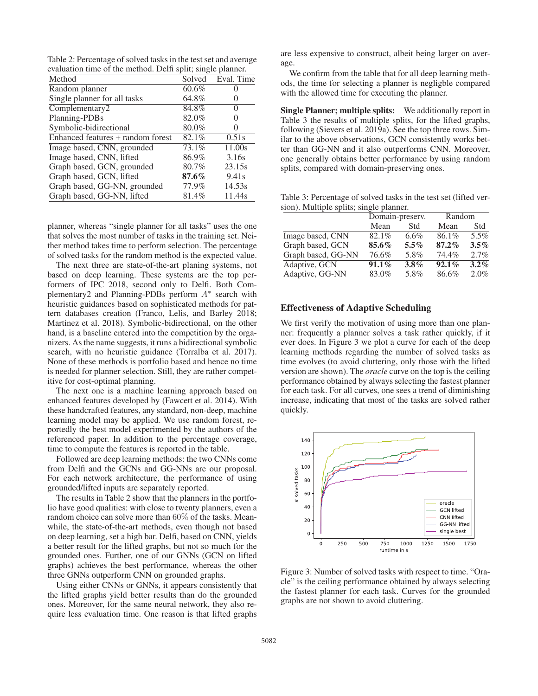Table 2: Percentage of solved tasks in the test set and average evaluation time of the method. Delfi split; single planner.

| Method                            | Solved   | Eval. Time        |
|-----------------------------------|----------|-------------------|
| Random planner                    | 60.6%    |                   |
| Single planner for all tasks      | 64.8%    |                   |
| Complementary2                    | 84.8%    | $\Omega$          |
| Planning-PDBs                     | 82.0%    |                   |
| Symbolic-bidirectional            | 80.0%    |                   |
| Enhanced features + random forest | 82.1%    | 0.51s             |
| Image based, CNN, grounded        | 73.1%    | 11.00s            |
| Image based, CNN, lifted          | 86.9%    | 3.16s             |
| Graph based, GCN, grounded        | 80.7%    | 23.15s            |
| Graph based, GCN, lifted          | $87.6\%$ | 9.41 <sub>s</sub> |
| Graph based, GG-NN, grounded      | 77.9%    | 14.53s            |
| Graph based, GG-NN, lifted        | 81.4%    | 11.44s            |

planner, whereas "single planner for all tasks" uses the one that solves the most number of tasks in the training set. Neither method takes time to perform selection. The percentage of solved tasks for the random method is the expected value.

The next three are state-of-the-art planing systems, not based on deep learning. These systems are the top performers of IPC 2018, second only to Delfi. Both Complementary2 and Planning-PDBs perform <sup>A</sup><sup>∗</sup> search with heuristic guidances based on sophisticated methods for pattern databases creation (Franco, Lelis, and Barley 2018; Martinez et al. 2018). Symbolic-bidirectional, on the other hand, is a baseline entered into the competition by the organizers. As the name suggests, it runs a bidirectional symbolic search, with no heuristic guidance (Torralba et al. 2017). None of these methods is portfolio based and hence no time is needed for planner selection. Still, they are rather competitive for cost-optimal planning.

The next one is a machine learning approach based on enhanced features developed by (Fawcett et al. 2014). With these handcrafted features, any standard, non-deep, machine learning model may be applied. We use random forest, reportedly the best model experimented by the authors of the referenced paper. In addition to the percentage coverage, time to compute the features is reported in the table.

Followed are deep learning methods: the two CNNs come from Delfi and the GCNs and GG-NNs are our proposal. For each network architecture, the performance of using grounded/lifted inputs are separately reported.

The results in Table 2 show that the planners in the portfolio have good qualities: with close to twenty planners, even a random choice can solve more than 60% of the tasks. Meanwhile, the state-of-the-art methods, even though not based on deep learning, set a high bar. Delfi, based on CNN, yields a better result for the lifted graphs, but not so much for the grounded ones. Further, one of our GNNs (GCN on lifted graphs) achieves the best performance, whereas the other three GNNs outperform CNN on grounded graphs.

Using either CNNs or GNNs, it appears consistently that the lifted graphs yield better results than do the grounded ones. Moreover, for the same neural network, they also require less evaluation time. One reason is that lifted graphs

are less expensive to construct, albeit being larger on average.

We confirm from the table that for all deep learning methods, the time for selecting a planner is negligble compared with the allowed time for executing the planner.

Single Planner; multiple splits: We additionally report in Table 3 the results of multiple splits, for the lifted graphs, following (Sievers et al. 2019a). See the top three rows. Similar to the above observations, GCN consistently works better than GG-NN and it also outperforms CNN. Moreover, one generally obtains better performance by using random splits, compared with domain-preserving ones.

Table 3: Percentage of solved tasks in the test set (lifted version). Multiple splits; single planner.

|                    | Domain-preserv. |         | Random   |         |
|--------------------|-----------------|---------|----------|---------|
|                    | Mean            | Std     | Mean     | Std     |
| Image based, CNN   | $82.1\%$        | 6.6%    | 86.1%    | 5.5%    |
| Graph based, GCN   | 85.6%           | $5.5\%$ | $87.2\%$ | $3.5\%$ |
| Graph based, GG-NN | 76.6%           | 5.8%    | 74.4%    | 2.7%    |
| Adaptive, GCN      | $91.1\%$        | $3.8\%$ | $92.1\%$ | $3.2\%$ |
| Adaptive, GG-NN    | 83.0%           | 5.8%    | 86.6%    | 2.0%    |

#### Effectiveness of Adaptive Scheduling

We first verify the motivation of using more than one planner: frequently a planner solves a task rather quickly, if it ever does. In Figure 3 we plot a curve for each of the deep learning methods regarding the number of solved tasks as time evolves (to avoid cluttering, only those with the lifted version are shown). The *oracle* curve on the top is the ceiling performance obtained by always selecting the fastest planner for each task. For all curves, one sees a trend of diminishing increase, indicating that most of the tasks are solved rather quickly.



Figure 3: Number of solved tasks with respect to time. "Oracle" is the ceiling performance obtained by always selecting the fastest planner for each task. Curves for the grounded graphs are not shown to avoid cluttering.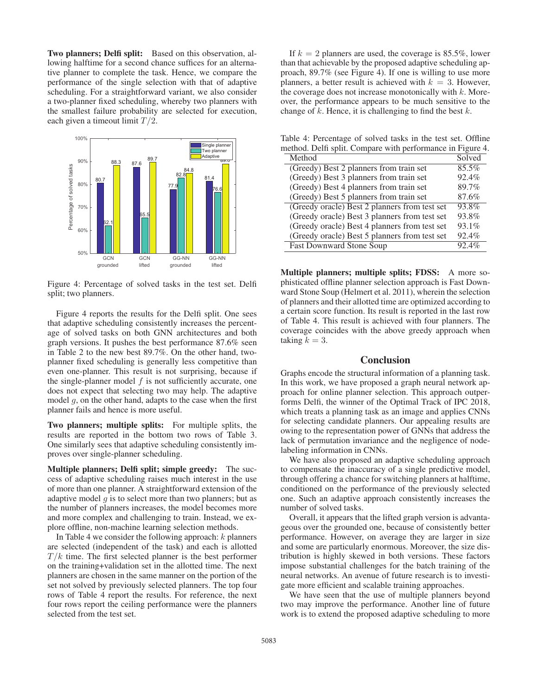Two planners; Delfi split: Based on this observation, allowing halftime for a second chance suffices for an alternative planner to complete the task. Hence, we compare the performance of the single selection with that of adaptive scheduling. For a straightforward variant, we also consider a two-planner fixed scheduling, whereby two planners with the smallest failure probability are selected for execution, each given a timeout limit  $T/2$ .



Figure 4: Percentage of solved tasks in the test set. Delfi split; two planners.

Figure 4 reports the results for the Delfi split. One sees that adaptive scheduling consistently increases the percentage of solved tasks on both GNN architectures and both graph versions. It pushes the best performance 87.6% seen in Table 2 to the new best 89.7%. On the other hand, twoplanner fixed scheduling is generally less competitive than even one-planner. This result is not surprising, because if the single-planner model  $f$  is not sufficiently accurate, one does not expect that selecting two may help. The adaptive model  $g$ , on the other hand, adapts to the case when the first planner fails and hence is more useful.

Two planners; multiple splits: For multiple splits, the results are reported in the bottom two rows of Table 3. One similarly sees that adaptive scheduling consistently improves over single-planner scheduling.

Multiple planners; Delfi split; simple greedy: The success of adaptive scheduling raises much interest in the use of more than one planner. A straightforward extension of the adaptive model  $q$  is to select more than two planners; but as the number of planners increases, the model becomes more and more complex and challenging to train. Instead, we explore offline, non-machine learning selection methods.

In Table 4 we consider the following approach:  $k$  planners are selected (independent of the task) and each is allotted  $T/k$  time. The first selected planner is the best performer on the training+validation set in the allotted time. The next planners are chosen in the same manner on the portion of the set not solved by previously selected planners. The top four rows of Table 4 report the results. For reference, the next four rows report the ceiling performance were the planners selected from the test set.

If  $k = 2$  planners are used, the coverage is 85.5%, lower than that achievable by the proposed adaptive scheduling approach, 89.7% (see Figure 4). If one is willing to use more planners, a better result is achieved with  $k = 3$ . However, the coverage does not increase monotonically with  $k$ . Moreover, the performance appears to be much sensitive to the change of  $k$ . Hence, it is challenging to find the best  $k$ .

Table 4: Percentage of solved tasks in the test set. Offline method. Delfi split. Compare with performance in Figure 4.

| Method                                        | Solved |
|-----------------------------------------------|--------|
| (Greedy) Best 2 planners from train set       | 85.5%  |
| (Greedy) Best 3 planners from train set       | 92.4%  |
| (Greedy) Best 4 planners from train set       | 89.7%  |
| (Greedy) Best 5 planners from train set       | 87.6%  |
| (Greedy oracle) Best 2 planners from test set | 93.8%  |
| (Greedy oracle) Best 3 planners from test set | 93.8%  |
| (Greedy oracle) Best 4 planners from test set | 93.1%  |
| (Greedy oracle) Best 5 planners from test set | 92.4%  |
| <b>Fast Downward Stone Soup</b>               | 92.4%  |

Multiple planners; multiple splits; FDSS: A more sophisticated offline planner selection approach is Fast Downward Stone Soup (Helmert et al. 2011), wherein the selection of planners and their allotted time are optimized according to a certain score function. Its result is reported in the last row of Table 4. This result is achieved with four planners. The coverage coincides with the above greedy approach when taking  $k = 3$ .

#### Conclusion

Graphs encode the structural information of a planning task. In this work, we have proposed a graph neural network approach for online planner selection. This approach outperforms Delfi, the winner of the Optimal Track of IPC 2018, which treats a planning task as an image and applies CNNs for selecting candidate planners. Our appealing results are owing to the representation power of GNNs that address the lack of permutation invariance and the negligence of nodelabeling information in CNNs.

We have also proposed an adaptive scheduling approach to compensate the inaccuracy of a single predictive model, through offering a chance for switching planners at halftime, conditioned on the performance of the previously selected one. Such an adaptive approach consistently increases the number of solved tasks.

Overall, it appears that the lifted graph version is advantageous over the grounded one, because of consistently better performance. However, on average they are larger in size and some are particularly enormous. Moreover, the size distribution is highly skewed in both versions. These factors impose substantial challenges for the batch training of the neural networks. An avenue of future research is to investigate more efficient and scalable training approaches.

We have seen that the use of multiple planners beyond two may improve the performance. Another line of future work is to extend the proposed adaptive scheduling to more